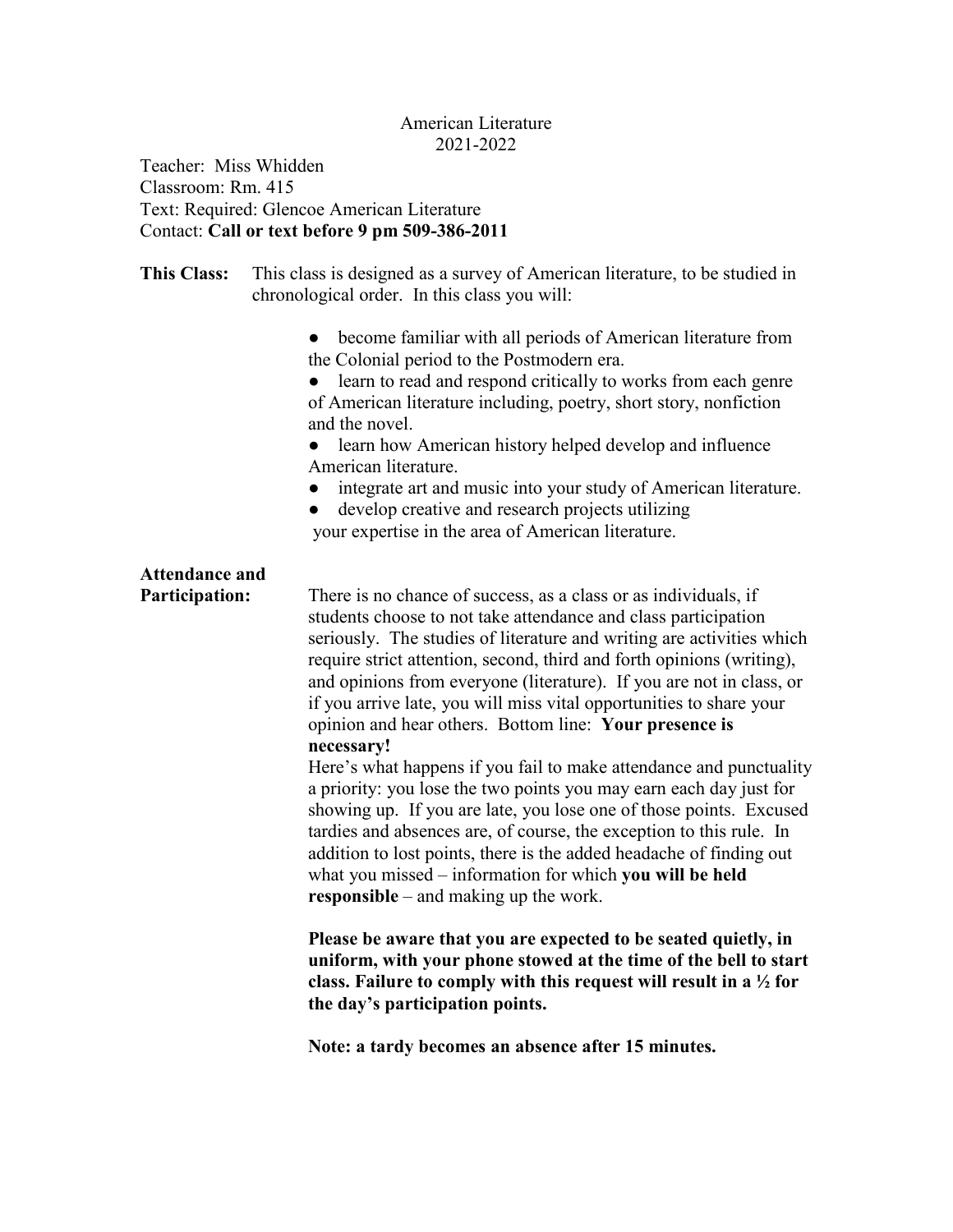## American Literature 2021-2022

Teacher: Miss Whidden Classroom: Rm. 415 Text: Required: Glencoe American Literature Contact: **Call or text before 9 pm 509-386-2011**

**This Class:** This class is designed as a survey of American literature, to be studied in chronological order. In this class you will:

> • become familiar with all periods of American literature from the Colonial period to the Postmodern era.

> • learn to read and respond critically to works from each genre of American literature including, poetry, short story, nonfiction and the novel.

• learn how American history helped develop and influence American literature.

- integrate art and music into your study of American literature.
- develop creative and research projects utilizing your expertise in the area of American literature.

## **Attendance and**

**Participation:** There is no chance of success, as a class or as individuals, if students choose to not take attendance and class participation seriously. The studies of literature and writing are activities which require strict attention, second, third and forth opinions (writing). and opinions from everyone (literature). If you are not in class, or if you arrive late, you will miss vital opportunities to share your opinion and hear others. Bottom line: **Your presence is necessary!**

> Here's what happens if you fail to make attendance and punctuality a priority: you lose the two points you may earn each day just for showing up. If you are late, you lose one of those points. Excused tardies and absences are, of course, the exception to this rule. In addition to lost points, there is the added headache of finding out what you missed – information for which **you will be held responsible** – and making up the work.

> **Please be aware that you are expected to be seated quietly, in uniform, with your phone stowed at the time of the bell to start class. Failure to comply with this request will result in a ½ for the day's participation points.**

**Note: a tardy becomes an absence after 15 minutes.**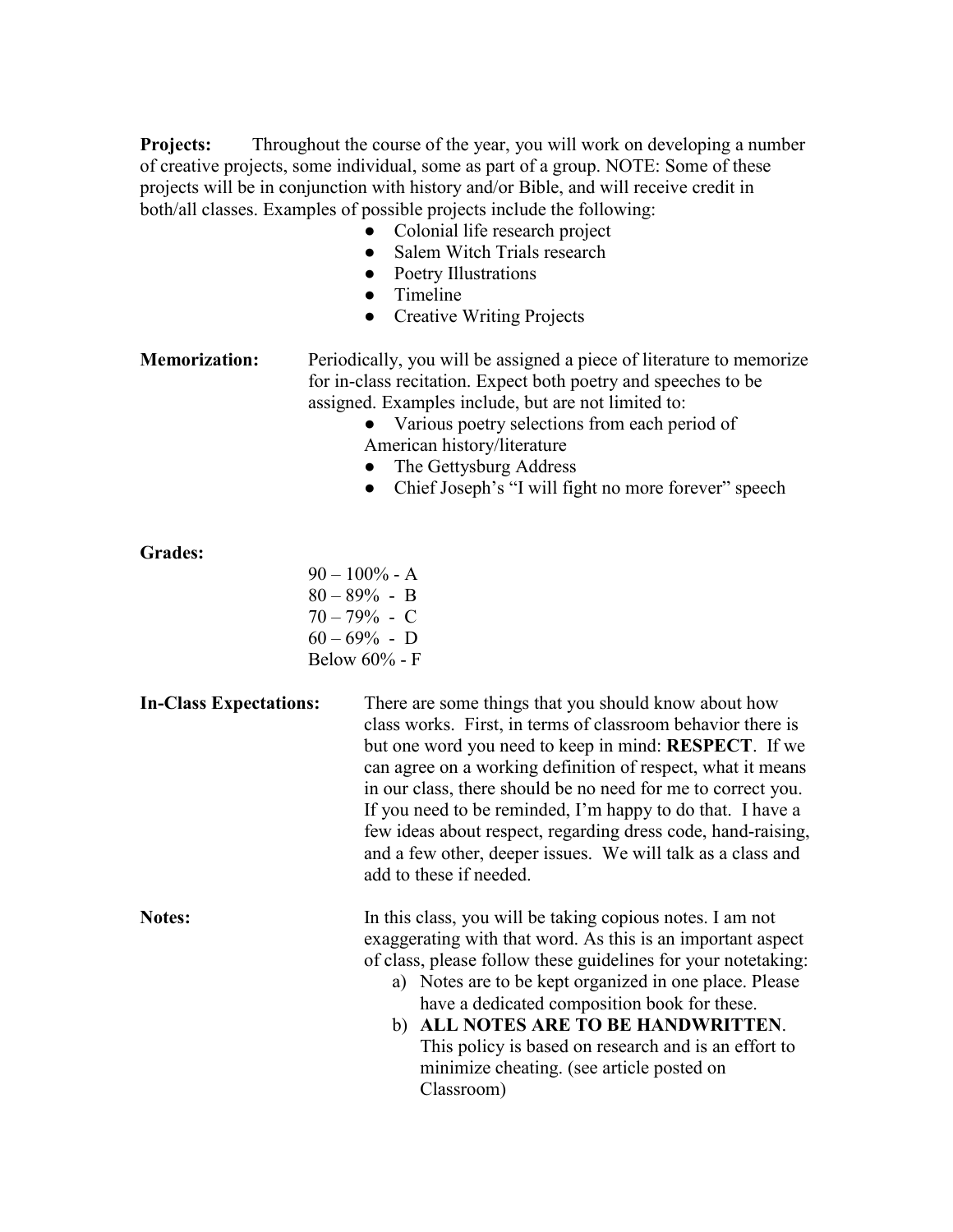**Projects:** Throughout the course of the year, you will work on developing a number of creative projects, some individual, some as part of a group. NOTE: Some of these projects will be in conjunction with history and/or Bible, and will receive credit in both/all classes. Examples of possible projects include the following:

- Colonial life research project
- Salem Witch Trials research
- Poetry Illustrations
- Timeline
- Creative Writing Projects

**Memorization:** Periodically, you will be assigned a piece of literature to memorize for in-class recitation. Expect both poetry and speeches to be assigned. Examples include, but are not limited to:

- Various poetry selections from each period of American history/literature
- The Gettysburg Address
- Chief Joseph's "I will fight no more forever" speech

## **Grades:**

 $90 - 100\% - A$ 80 – 89% - B 70 – 79% - C  $60 - 69\%$  - D Below 60% - F

## **In-Class Expectations:** There are some things that you should know about how class works. First, in terms of classroom behavior there is but one word you need to keep in mind: **RESPECT**. If we can agree on a working definition of respect, what it means in our class, there should be no need for me to correct you. If you need to be reminded, I'm happy to do that. I have a few ideas about respect, regarding dress code, hand-raising, and a few other, deeper issues. We will talk as a class and add to these if needed.

**Notes:** In this class, you will be taking copious notes. I am not exaggerating with that word. As this is an important aspect of class, please follow these guidelines for your notetaking:

- a) Notes are to be kept organized in one place. Please have a dedicated composition book for these.
- b) **ALL NOTES ARE TO BE HANDWRITTEN**. This policy is based on research and is an effort to minimize cheating. (see article posted on Classroom)